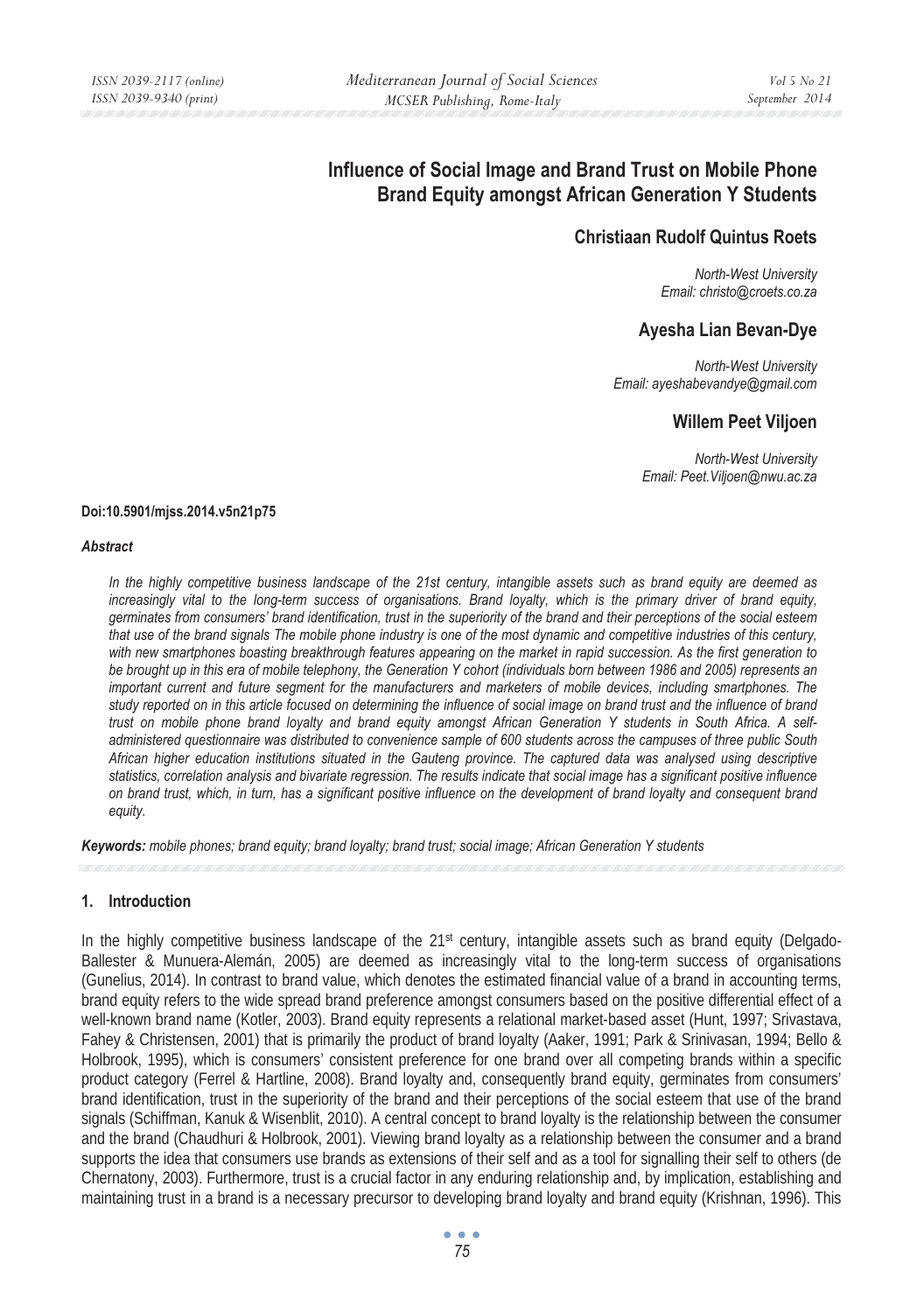# **Influence of Social Image and Brand Trust on Mobile Phone Brand Equity amongst African Generation Y Students**

# **Christiaan Rudolf Quintus Roets**

*North-West University Email: christo@croets.co.za* 

# **Ayesha Lian Bevan-Dye**

*North-West University Email: ayeshabevandye@gmail.com* 

# **Willem Peet Viljoen**

*North-West University Email: Peet.Viljoen@nwu.ac.za* 

#### **Doi:10.5901/mjss.2014.v5n21p75**

#### *Abstract*

*In the highly competitive business landscape of the 21st century, intangible assets such as brand equity are deemed as increasingly vital to the long-term success of organisations. Brand loyalty, which is the primary driver of brand equity, germinates from consumers' brand identification, trust in the superiority of the brand and their perceptions of the social esteem that use of the brand signals The mobile phone industry is one of the most dynamic and competitive industries of this century, with new smartphones boasting breakthrough features appearing on the market in rapid succession. As the first generation to be brought up in this era of mobile telephony, the Generation Y cohort (individuals born between 1986 and 2005) represents an important current and future segment for the manufacturers and marketers of mobile devices, including smartphones. The study reported on in this article focused on determining the influence of social image on brand trust and the influence of brand trust on mobile phone brand loyalty and brand equity amongst African Generation Y students in South Africa. A selfadministered questionnaire was distributed to convenience sample of 600 students across the campuses of three public South African higher education institutions situated in the Gauteng province. The captured data was analysed using descriptive statistics, correlation analysis and bivariate regression. The results indicate that social image has a significant positive influence on brand trust, which, in turn, has a significant positive influence on the development of brand loyalty and consequent brand equity.* 

*Keywords: mobile phones; brand equity; brand loyalty; brand trust; social image; African Generation Y students*

### **1. Introduction**

In the highly competitive business landscape of the  $21<sup>st</sup>$  century, intangible assets such as brand equity (Delgado-Ballester & Munuera-Alemán, 2005) are deemed as increasingly vital to the long-term success of organisations (Gunelius, 2014). In contrast to brand value, which denotes the estimated financial value of a brand in accounting terms, brand equity refers to the wide spread brand preference amongst consumers based on the positive differential effect of a well-known brand name (Kotler, 2003). Brand equity represents a relational market-based asset (Hunt, 1997; Srivastava, Fahey & Christensen, 2001) that is primarily the product of brand loyalty (Aaker, 1991; Park & Srinivasan, 1994; Bello & Holbrook, 1995), which is consumers' consistent preference for one brand over all competing brands within a specific product category (Ferrel & Hartline, 2008). Brand loyalty and, consequently brand equity, germinates from consumers' brand identification, trust in the superiority of the brand and their perceptions of the social esteem that use of the brand signals (Schiffman, Kanuk & Wisenblit, 2010). A central concept to brand loyalty is the relationship between the consumer and the brand (Chaudhuri & Holbrook, 2001). Viewing brand loyalty as a relationship between the consumer and a brand supports the idea that consumers use brands as extensions of their self and as a tool for signalling their self to others (de Chernatony, 2003). Furthermore, trust is a crucial factor in any enduring relationship and, by implication, establishing and maintaining trust in a brand is a necessary precursor to developing brand loyalty and brand equity (Krishnan, 1996). This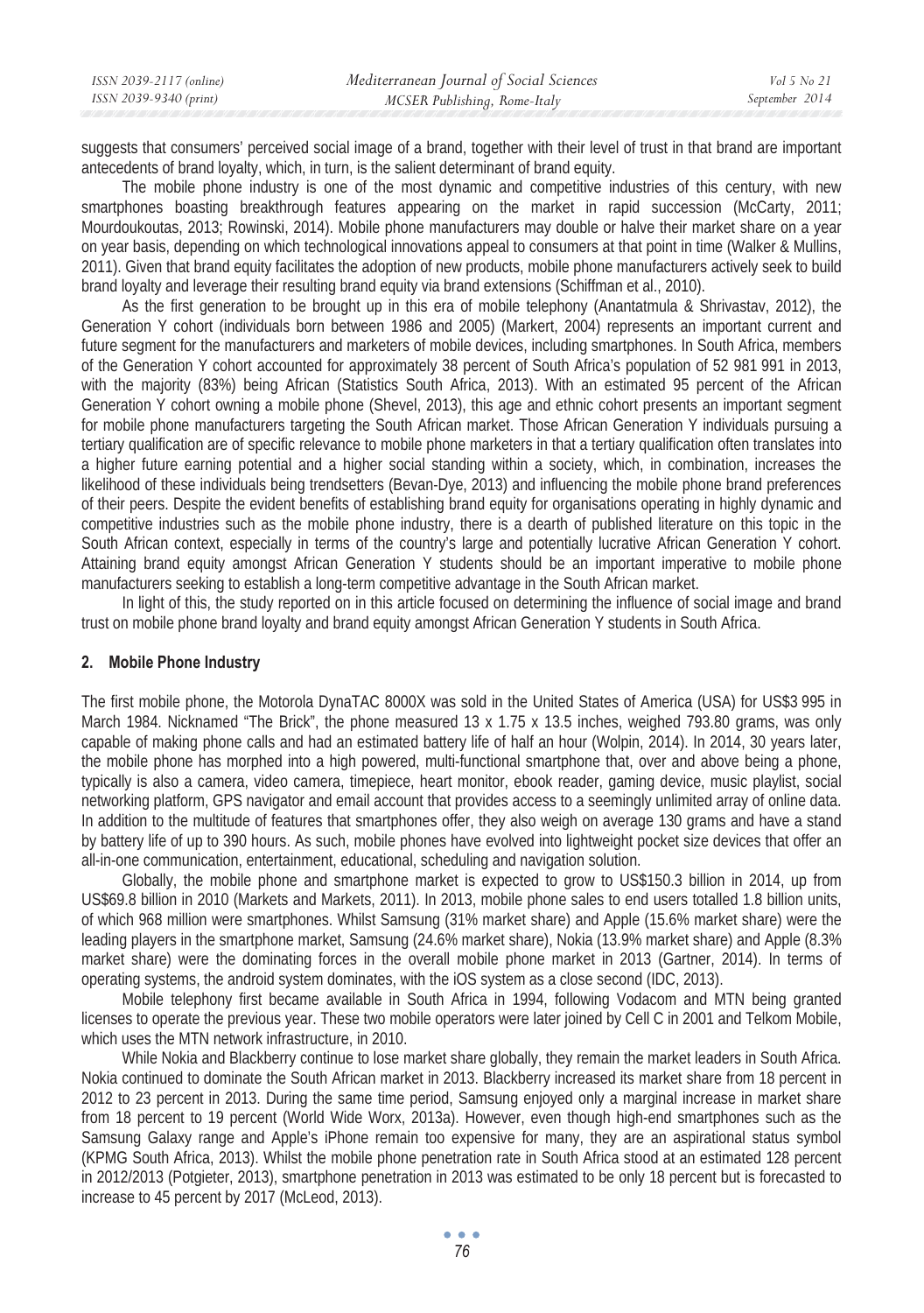| ISSN 2039-2117 (online) | Mediterranean Journal of Social Sciences | Vol 5 No 21    |
|-------------------------|------------------------------------------|----------------|
| ISSN 2039-9340 (print)  | MCSER Publishing, Rome-Italy             | September 2014 |
|                         |                                          |                |

suggests that consumers' perceived social image of a brand, together with their level of trust in that brand are important antecedents of brand loyalty, which, in turn, is the salient determinant of brand equity.

The mobile phone industry is one of the most dynamic and competitive industries of this century, with new smartphones boasting breakthrough features appearing on the market in rapid succession (McCarty, 2011; Mourdoukoutas, 2013; Rowinski, 2014). Mobile phone manufacturers may double or halve their market share on a year on year basis, depending on which technological innovations appeal to consumers at that point in time (Walker & Mullins, 2011). Given that brand equity facilitates the adoption of new products, mobile phone manufacturers actively seek to build brand loyalty and leverage their resulting brand equity via brand extensions (Schiffman et al., 2010).

As the first generation to be brought up in this era of mobile telephony (Anantatmula & Shrivastav, 2012), the Generation Y cohort (individuals born between 1986 and 2005) (Markert, 2004) represents an important current and future segment for the manufacturers and marketers of mobile devices, including smartphones. In South Africa, members of the Generation Y cohort accounted for approximately 38 percent of South Africa's population of 52 981 991 in 2013, with the majority (83%) being African (Statistics South Africa, 2013). With an estimated 95 percent of the African Generation Y cohort owning a mobile phone (Shevel, 2013), this age and ethnic cohort presents an important segment for mobile phone manufacturers targeting the South African market. Those African Generation Y individuals pursuing a tertiary qualification are of specific relevance to mobile phone marketers in that a tertiary qualification often translates into a higher future earning potential and a higher social standing within a society, which, in combination, increases the likelihood of these individuals being trendsetters (Bevan-Dye, 2013) and influencing the mobile phone brand preferences of their peers. Despite the evident benefits of establishing brand equity for organisations operating in highly dynamic and competitive industries such as the mobile phone industry, there is a dearth of published literature on this topic in the South African context, especially in terms of the country's large and potentially lucrative African Generation Y cohort. Attaining brand equity amongst African Generation Y students should be an important imperative to mobile phone manufacturers seeking to establish a long-term competitive advantage in the South African market.

In light of this, the study reported on in this article focused on determining the influence of social image and brand trust on mobile phone brand loyalty and brand equity amongst African Generation Y students in South Africa.

#### **2. Mobile Phone Industry**

The first mobile phone, the Motorola DynaTAC 8000X was sold in the United States of America (USA) for US\$3 995 in March 1984. Nicknamed "The Brick", the phone measured 13 x 1.75 x 13.5 inches, weighed 793.80 grams, was only capable of making phone calls and had an estimated battery life of half an hour (Wolpin, 2014). In 2014, 30 years later, the mobile phone has morphed into a high powered, multi-functional smartphone that, over and above being a phone, typically is also a camera, video camera, timepiece, heart monitor, ebook reader, gaming device, music playlist, social networking platform, GPS navigator and email account that provides access to a seemingly unlimited array of online data. In addition to the multitude of features that smartphones offer, they also weigh on average 130 grams and have a stand by battery life of up to 390 hours. As such, mobile phones have evolved into lightweight pocket size devices that offer an all-in-one communication, entertainment, educational, scheduling and navigation solution.

Globally, the mobile phone and smartphone market is expected to grow to US\$150.3 billion in 2014, up from US\$69.8 billion in 2010 (Markets and Markets, 2011). In 2013, mobile phone sales to end users totalled 1.8 billion units, of which 968 million were smartphones. Whilst Samsung (31% market share) and Apple (15.6% market share) were the leading players in the smartphone market, Samsung (24.6% market share), Nokia (13.9% market share) and Apple (8.3% market share) were the dominating forces in the overall mobile phone market in 2013 (Gartner, 2014). In terms of operating systems, the android system dominates, with the iOS system as a close second (IDC, 2013).

Mobile telephony first became available in South Africa in 1994, following Vodacom and MTN being granted licenses to operate the previous year. These two mobile operators were later joined by Cell C in 2001 and Telkom Mobile, which uses the MTN network infrastructure, in 2010.

While Nokia and Blackberry continue to lose market share globally, they remain the market leaders in South Africa. Nokia continued to dominate the South African market in 2013. Blackberry increased its market share from 18 percent in 2012 to 23 percent in 2013. During the same time period, Samsung enjoyed only a marginal increase in market share from 18 percent to 19 percent (World Wide Worx, 2013a). However, even though high-end smartphones such as the Samsung Galaxy range and Apple's iPhone remain too expensive for many, they are an aspirational status symbol (KPMG South Africa, 2013). Whilst the mobile phone penetration rate in South Africa stood at an estimated 128 percent in 2012/2013 (Potgieter, 2013), smartphone penetration in 2013 was estimated to be only 18 percent but is forecasted to increase to 45 percent by 2017 (McLeod, 2013).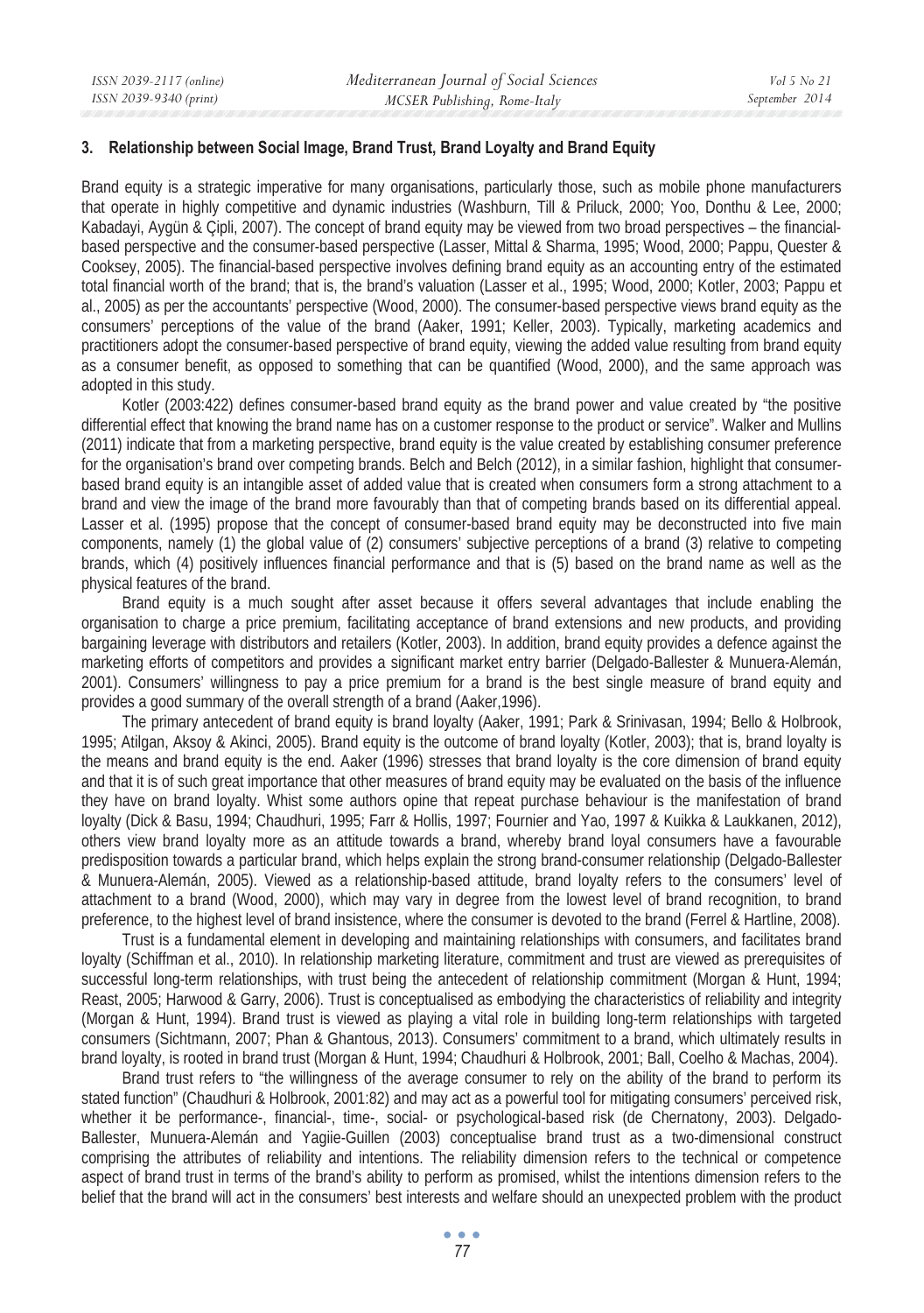### **3. Relationship between Social Image, Brand Trust, Brand Loyalty and Brand Equity**

Brand equity is a strategic imperative for many organisations, particularly those, such as mobile phone manufacturers that operate in highly competitive and dynamic industries (Washburn, Till & Priluck, 2000; Yoo, Donthu & Lee, 2000; Kabadayi, Aygün & Çipli, 2007). The concept of brand equity may be viewed from two broad perspectives – the financialbased perspective and the consumer-based perspective (Lasser, Mittal & Sharma, 1995; Wood, 2000; Pappu, Quester & Cooksey, 2005). The financial-based perspective involves defining brand equity as an accounting entry of the estimated total financial worth of the brand; that is, the brand's valuation (Lasser et al., 1995; Wood, 2000; Kotler, 2003; Pappu et al., 2005) as per the accountants' perspective (Wood, 2000). The consumer-based perspective views brand equity as the consumers' perceptions of the value of the brand (Aaker, 1991; Keller, 2003). Typically, marketing academics and practitioners adopt the consumer-based perspective of brand equity, viewing the added value resulting from brand equity as a consumer benefit, as opposed to something that can be quantified (Wood, 2000), and the same approach was adopted in this study.

Kotler (2003:422) defines consumer-based brand equity as the brand power and value created by "the positive differential effect that knowing the brand name has on a customer response to the product or service". Walker and Mullins (2011) indicate that from a marketing perspective, brand equity is the value created by establishing consumer preference for the organisation's brand over competing brands. Belch and Belch (2012), in a similar fashion, highlight that consumerbased brand equity is an intangible asset of added value that is created when consumers form a strong attachment to a brand and view the image of the brand more favourably than that of competing brands based on its differential appeal. Lasser et al. (1995) propose that the concept of consumer-based brand equity may be deconstructed into five main components, namely (1) the global value of (2) consumers' subjective perceptions of a brand (3) relative to competing brands, which (4) positively influences financial performance and that is (5) based on the brand name as well as the physical features of the brand.

Brand equity is a much sought after asset because it offers several advantages that include enabling the organisation to charge a price premium, facilitating acceptance of brand extensions and new products, and providing bargaining leverage with distributors and retailers (Kotler, 2003). In addition, brand equity provides a defence against the marketing efforts of competitors and provides a significant market entry barrier (Delgado-Ballester & Munuera-Alemán, 2001). Consumers' willingness to pay a price premium for a brand is the best single measure of brand equity and provides a good summary of the overall strength of a brand (Aaker,1996).

The primary antecedent of brand equity is brand loyalty (Aaker, 1991; Park & Srinivasan, 1994; Bello & Holbrook, 1995; Atilgan, Aksoy & Akinci, 2005). Brand equity is the outcome of brand loyalty (Kotler, 2003); that is, brand loyalty is the means and brand equity is the end. Aaker (1996) stresses that brand loyalty is the core dimension of brand equity and that it is of such great importance that other measures of brand equity may be evaluated on the basis of the influence they have on brand loyalty. Whist some authors opine that repeat purchase behaviour is the manifestation of brand loyalty (Dick & Basu, 1994; Chaudhuri, 1995; Farr & Hollis, 1997; Fournier and Yao, 1997 & Kuikka & Laukkanen, 2012), others view brand loyalty more as an attitude towards a brand, whereby brand loyal consumers have a favourable predisposition towards a particular brand, which helps explain the strong brand-consumer relationship (Delgado-Ballester & Munuera-Alemán, 2005). Viewed as a relationship-based attitude, brand loyalty refers to the consumers' level of attachment to a brand (Wood, 2000), which may vary in degree from the lowest level of brand recognition, to brand preference, to the highest level of brand insistence, where the consumer is devoted to the brand (Ferrel & Hartline, 2008).

Trust is a fundamental element in developing and maintaining relationships with consumers, and facilitates brand loyalty (Schiffman et al., 2010). In relationship marketing literature, commitment and trust are viewed as prerequisites of successful long-term relationships, with trust being the antecedent of relationship commitment (Morgan & Hunt, 1994; Reast, 2005; Harwood & Garry, 2006). Trust is conceptualised as embodying the characteristics of reliability and integrity (Morgan & Hunt, 1994). Brand trust is viewed as playing a vital role in building long-term relationships with targeted consumers (Sichtmann, 2007; Phan & Ghantous, 2013). Consumers' commitment to a brand, which ultimately results in brand loyalty, is rooted in brand trust (Morgan & Hunt, 1994; Chaudhuri & Holbrook, 2001; Ball, Coelho & Machas, 2004).

Brand trust refers to "the willingness of the average consumer to rely on the ability of the brand to perform its stated function" (Chaudhuri & Holbrook, 2001:82) and may act as a powerful tool for mitigating consumers' perceived risk, whether it be performance-, financial-, time-, social- or psychological-based risk (de Chernatony, 2003). Delgado-Ballester, Munuera-Alemán and Yagiie-Guillen (2003) conceptualise brand trust as a two-dimensional construct comprising the attributes of reliability and intentions. The reliability dimension refers to the technical or competence aspect of brand trust in terms of the brand's ability to perform as promised, whilst the intentions dimension refers to the belief that the brand will act in the consumers' best interests and welfare should an unexpected problem with the product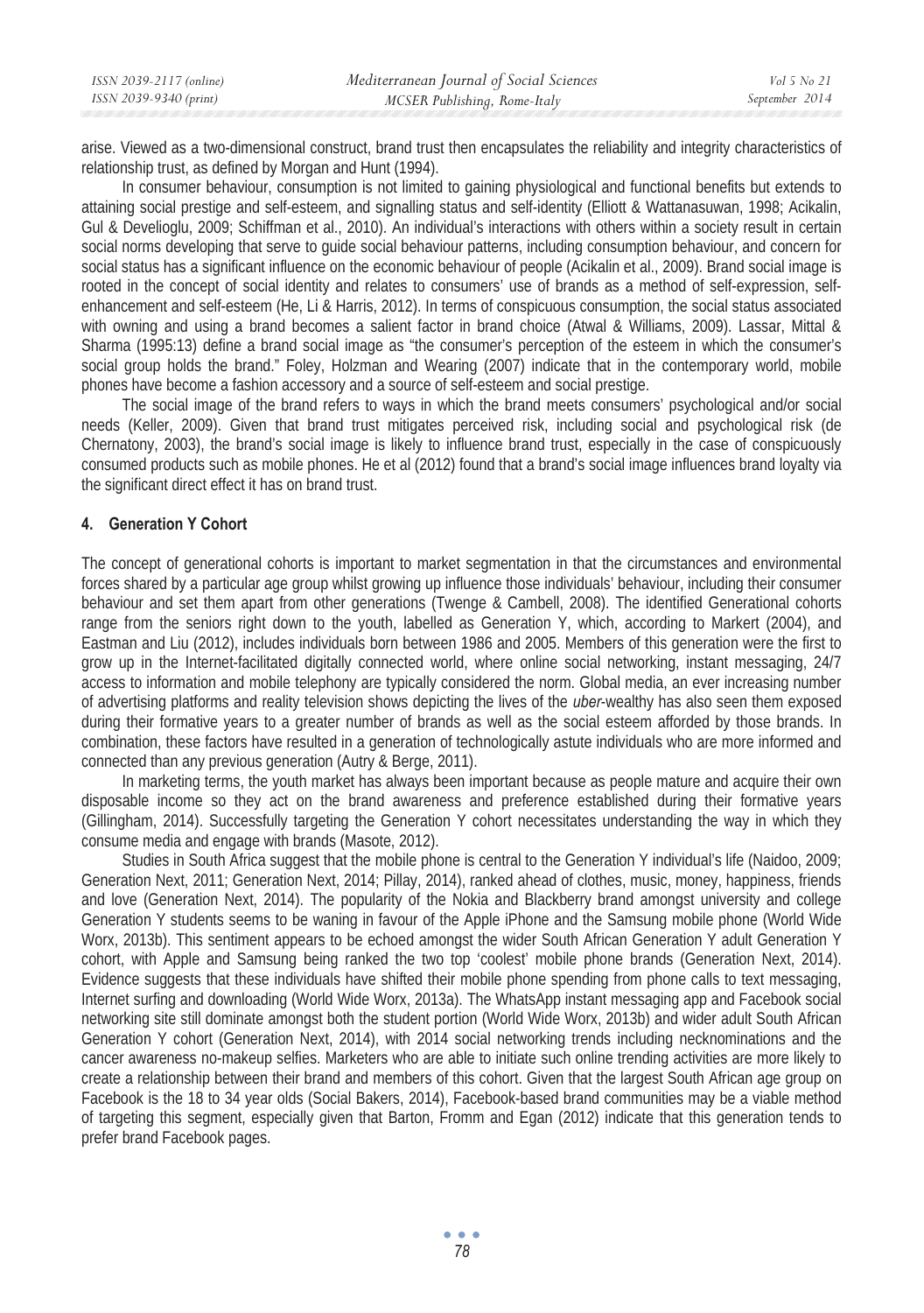| ISSN 2039-2117 (online) | Mediterranean Journal of Social Sciences | Vol 5 No 21    |
|-------------------------|------------------------------------------|----------------|
| ISSN 2039-9340 (print)  | MCSER Publishing, Rome-Italy             | September 2014 |

arise. Viewed as a two-dimensional construct, brand trust then encapsulates the reliability and integrity characteristics of relationship trust, as defined by Morgan and Hunt (1994).

In consumer behaviour, consumption is not limited to gaining physiological and functional benefits but extends to attaining social prestige and self-esteem, and signalling status and self-identity (Elliott & Wattanasuwan, 1998; Acikalin, Gul & Develioglu, 2009; Schiffman et al., 2010). An individual's interactions with others within a society result in certain social norms developing that serve to guide social behaviour patterns, including consumption behaviour, and concern for social status has a significant influence on the economic behaviour of people (Acikalin et al., 2009). Brand social image is rooted in the concept of social identity and relates to consumers' use of brands as a method of self-expression, selfenhancement and self-esteem (He, Li & Harris, 2012). In terms of conspicuous consumption, the social status associated with owning and using a brand becomes a salient factor in brand choice (Atwal & Williams, 2009). Lassar, Mittal & Sharma (1995:13) define a brand social image as "the consumer's perception of the esteem in which the consumer's social group holds the brand." Foley, Holzman and Wearing (2007) indicate that in the contemporary world, mobile phones have become a fashion accessory and a source of self-esteem and social prestige.

The social image of the brand refers to ways in which the brand meets consumers' psychological and/or social needs (Keller, 2009). Given that brand trust mitigates perceived risk, including social and psychological risk (de Chernatony, 2003), the brand's social image is likely to influence brand trust, especially in the case of conspicuously consumed products such as mobile phones. He et al (2012) found that a brand's social image influences brand loyalty via the significant direct effect it has on brand trust.

### **4. Generation Y Cohort**

The concept of generational cohorts is important to market segmentation in that the circumstances and environmental forces shared by a particular age group whilst growing up influence those individuals' behaviour, including their consumer behaviour and set them apart from other generations (Twenge & Cambell, 2008). The identified Generational cohorts range from the seniors right down to the youth, labelled as Generation Y, which, according to Markert (2004), and Eastman and Liu (2012), includes individuals born between 1986 and 2005. Members of this generation were the first to grow up in the Internet-facilitated digitally connected world, where online social networking, instant messaging, 24/7 access to information and mobile telephony are typically considered the norm. Global media, an ever increasing number of advertising platforms and reality television shows depicting the lives of the *uber*-wealthy has also seen them exposed during their formative years to a greater number of brands as well as the social esteem afforded by those brands. In combination, these factors have resulted in a generation of technologically astute individuals who are more informed and connected than any previous generation (Autry & Berge, 2011).

In marketing terms, the youth market has always been important because as people mature and acquire their own disposable income so they act on the brand awareness and preference established during their formative years (Gillingham, 2014). Successfully targeting the Generation Y cohort necessitates understanding the way in which they consume media and engage with brands (Masote, 2012).

Studies in South Africa suggest that the mobile phone is central to the Generation Y individual's life (Naidoo, 2009; Generation Next, 2011; Generation Next, 2014; Pillay, 2014), ranked ahead of clothes, music, money, happiness, friends and love (Generation Next, 2014). The popularity of the Nokia and Blackberry brand amongst university and college Generation Y students seems to be waning in favour of the Apple iPhone and the Samsung mobile phone (World Wide Worx, 2013b). This sentiment appears to be echoed amongst the wider South African Generation Y adult Generation Y cohort, with Apple and Samsung being ranked the two top 'coolest' mobile phone brands (Generation Next, 2014). Evidence suggests that these individuals have shifted their mobile phone spending from phone calls to text messaging, Internet surfing and downloading (World Wide Worx, 2013a). The WhatsApp instant messaging app and Facebook social networking site still dominate amongst both the student portion (World Wide Worx, 2013b) and wider adult South African Generation Y cohort (Generation Next, 2014), with 2014 social networking trends including necknominations and the cancer awareness no-makeup selfies. Marketers who are able to initiate such online trending activities are more likely to create a relationship between their brand and members of this cohort. Given that the largest South African age group on Facebook is the 18 to 34 year olds (Social Bakers, 2014), Facebook-based brand communities may be a viable method of targeting this segment, especially given that Barton, Fromm and Egan (2012) indicate that this generation tends to prefer brand Facebook pages.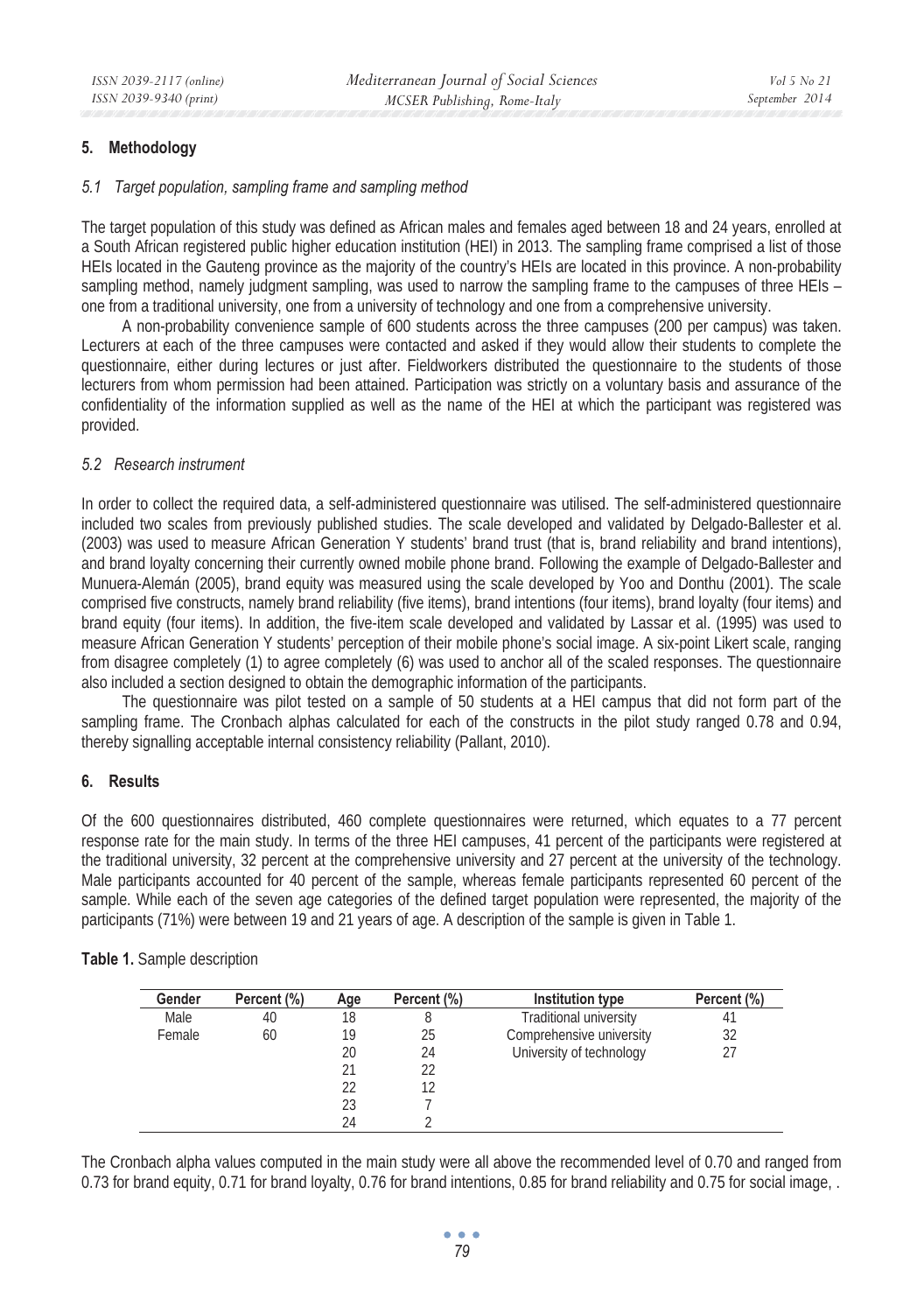# **5. Methodology**

### *5.1 Target population, sampling frame and sampling method*

The target population of this study was defined as African males and females aged between 18 and 24 years, enrolled at a South African registered public higher education institution (HEI) in 2013. The sampling frame comprised a list of those HEIs located in the Gauteng province as the majority of the country's HEIs are located in this province. A non-probability sampling method, namely judgment sampling, was used to narrow the sampling frame to the campuses of three HEIs – one from a traditional university, one from a university of technology and one from a comprehensive university.

A non-probability convenience sample of 600 students across the three campuses (200 per campus) was taken. Lecturers at each of the three campuses were contacted and asked if they would allow their students to complete the questionnaire, either during lectures or just after. Fieldworkers distributed the questionnaire to the students of those lecturers from whom permission had been attained. Participation was strictly on a voluntary basis and assurance of the confidentiality of the information supplied as well as the name of the HEI at which the participant was registered was provided.

### *5.2 Research instrument*

In order to collect the required data, a self-administered questionnaire was utilised. The self-administered questionnaire included two scales from previously published studies. The scale developed and validated by Delgado-Ballester et al. (2003) was used to measure African Generation Y students' brand trust (that is, brand reliability and brand intentions), and brand loyalty concerning their currently owned mobile phone brand. Following the example of Delgado-Ballester and Munuera-Alemán (2005), brand equity was measured using the scale developed by Yoo and Donthu (2001). The scale comprised five constructs, namely brand reliability (five items), brand intentions (four items), brand loyalty (four items) and brand equity (four items). In addition, the five-item scale developed and validated by Lassar et al. (1995) was used to measure African Generation Y students' perception of their mobile phone's social image. A six-point Likert scale, ranging from disagree completely (1) to agree completely (6) was used to anchor all of the scaled responses. The questionnaire also included a section designed to obtain the demographic information of the participants.

The questionnaire was pilot tested on a sample of 50 students at a HEI campus that did not form part of the sampling frame. The Cronbach alphas calculated for each of the constructs in the pilot study ranged 0.78 and 0.94, thereby signalling acceptable internal consistency reliability (Pallant, 2010).

### **6. Results**

Of the 600 questionnaires distributed, 460 complete questionnaires were returned, which equates to a 77 percent response rate for the main study. In terms of the three HEI campuses, 41 percent of the participants were registered at the traditional university, 32 percent at the comprehensive university and 27 percent at the university of the technology. Male participants accounted for 40 percent of the sample, whereas female participants represented 60 percent of the sample. While each of the seven age categories of the defined target population were represented, the majority of the participants (71%) were between 19 and 21 years of age. A description of the sample is given in Table 1.

| Gender | Percent (%) | Age | Percent (%) | Institution type         | Percent (%) |
|--------|-------------|-----|-------------|--------------------------|-------------|
| Male   | 40          | 18  |             | Traditional university   | 41          |
| Female | 60          | 19  | 25          | Comprehensive university | 32          |
|        |             | 20  | 24          | University of technology | 27          |
|        |             | 21  | 22          |                          |             |
|        |             | 22  |             |                          |             |
|        |             | 23  |             |                          |             |
|        |             | 24  |             |                          |             |

**Table 1.** Sample description

The Cronbach alpha values computed in the main study were all above the recommended level of 0.70 and ranged from 0.73 for brand equity, 0.71 for brand loyalty, 0.76 for brand intentions, 0.85 for brand reliability and 0.75 for social image, .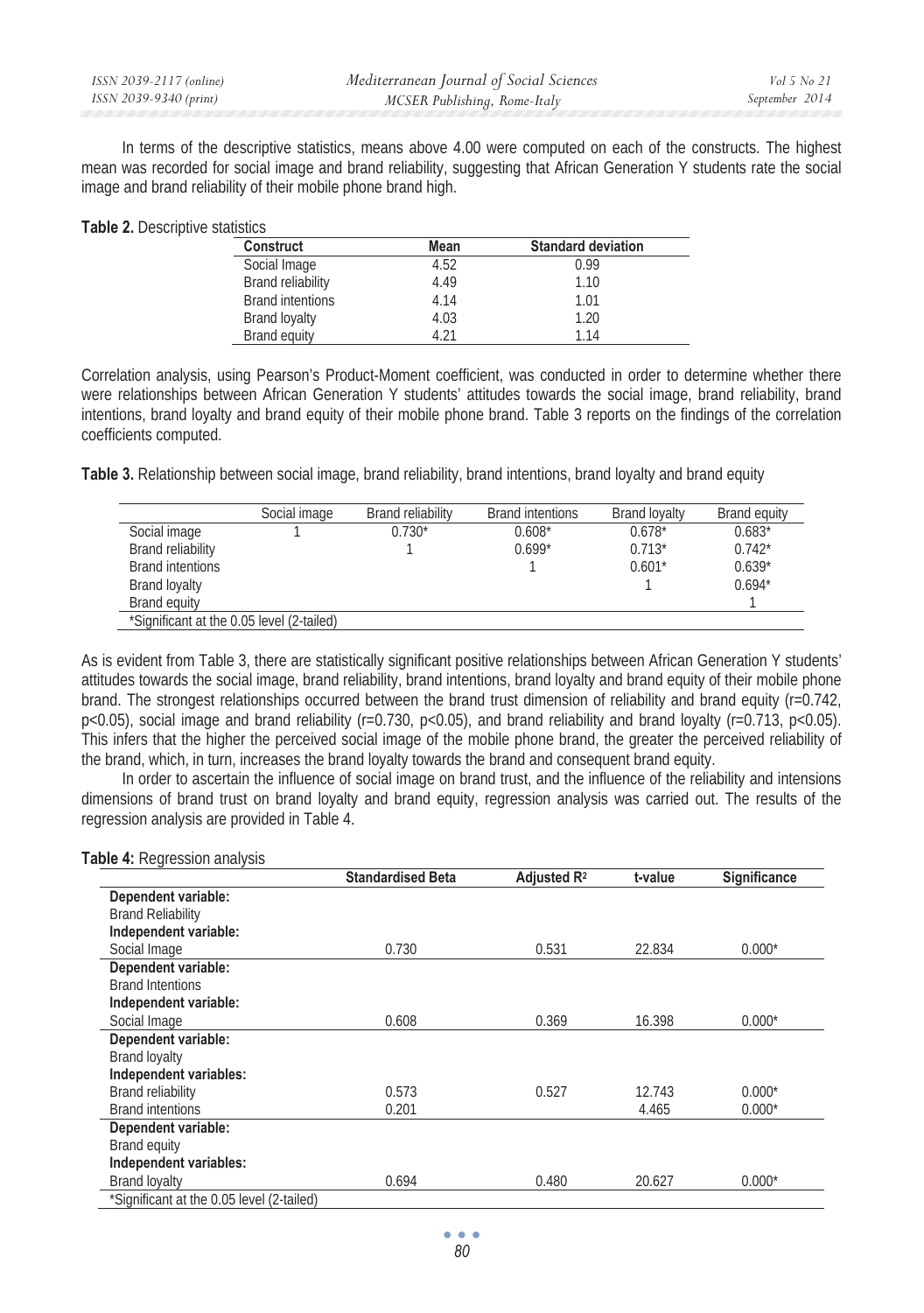| ISSN 2039-2117 (online) | Mediterranean Journal of Social Sciences | <i>Vol</i> 5 <i>No</i> 21 |
|-------------------------|------------------------------------------|---------------------------|
| ISSN 2039-9340 (print)  | MCSER Publishing, Rome-Italy             | September 2014            |

In terms of the descriptive statistics, means above 4.00 were computed on each of the constructs. The highest mean was recorded for social image and brand reliability, suggesting that African Generation Y students rate the social image and brand reliability of their mobile phone brand high.

| <b>Construct</b>         | Mean | <b>Standard deviation</b> |
|--------------------------|------|---------------------------|
| Social Image             | 4.52 | 0.99                      |
| <b>Brand reliability</b> | 4.49 | 1.10                      |
| <b>Brand intentions</b>  | 4.14 | 1.01                      |
| <b>Brand loyalty</b>     | 4.03 | 1.20                      |
| Brand equity             | 4 21 | 1.14                      |

Correlation analysis, using Pearson's Product-Moment coefficient, was conducted in order to determine whether there were relationships between African Generation Y students' attitudes towards the social image, brand reliability, brand intentions, brand loyalty and brand equity of their mobile phone brand. Table 3 reports on the findings of the correlation coefficients computed.

**Table 3.** Relationship between social image, brand reliability, brand intentions, brand loyalty and brand equity

|                                           | Social image | <b>Brand reliability</b> | Brand intentions | <b>Brand lovalty</b> | Brand equity |
|-------------------------------------------|--------------|--------------------------|------------------|----------------------|--------------|
| Social image                              |              | $0.730*$                 | $0.608*$         | $0.678*$             | $0.683*$     |
| <b>Brand reliability</b>                  |              |                          | $0.699*$         | $0.713*$             | $0.742*$     |
| <b>Brand intentions</b>                   |              |                          |                  | $0.601*$             | $0.639*$     |
| Brand loyalty                             |              |                          |                  |                      | $0.694*$     |
| <b>Brand equity</b>                       |              |                          |                  |                      |              |
| *Significant at the 0.05 level (2-tailed) |              |                          |                  |                      |              |

As is evident from Table 3, there are statistically significant positive relationships between African Generation Y students' attitudes towards the social image, brand reliability, brand intentions, brand loyalty and brand equity of their mobile phone brand. The strongest relationships occurred between the brand trust dimension of reliability and brand equity (r=0.742, p<0.05), social image and brand reliability (r=0.730, p<0.05), and brand reliability and brand loyalty (r=0.713, p<0.05). This infers that the higher the perceived social image of the mobile phone brand, the greater the perceived reliability of the brand, which, in turn, increases the brand loyalty towards the brand and consequent brand equity.

In order to ascertain the influence of social image on brand trust, and the influence of the reliability and intensions dimensions of brand trust on brand loyalty and brand equity, regression analysis was carried out. The results of the regression analysis are provided in Table 4.

|                          | <b>Standardised Beta</b> | Adjusted R <sup>2</sup> | t-value | Significance |
|--------------------------|--------------------------|-------------------------|---------|--------------|
| Dependent variable:      |                          |                         |         |              |
| <b>Brand Reliability</b> |                          |                         |         |              |
| Independent variable:    |                          |                         |         |              |
| Social Image             | 0.730                    | 0.531                   | 22.834  | $0.000*$     |
| Dependent variable:      |                          |                         |         |              |
| <b>Brand Intentions</b>  |                          |                         |         |              |
| Independent variable:    |                          |                         |         |              |
| Social Image             | 0.608                    | 0.369                   | 16.398  | $0.000*$     |
| Dependent variable:      |                          |                         |         |              |
| <b>Brand loyalty</b>     |                          |                         |         |              |
| Independent variables:   |                          |                         |         |              |
| <b>Brand reliability</b> | 0.573                    | 0.527                   | 12.743  | $0.000*$     |
| <b>Brand intentions</b>  | 0.201                    |                         | 4.465   | $0.000*$     |
| Dependent variable:      |                          |                         |         |              |
| <b>Brand equity</b>      |                          |                         |         |              |
| Independent variables:   |                          |                         |         |              |
| <b>Brand loyalty</b>     | 0.694                    | 0.480                   | 20.627  | $0.000*$     |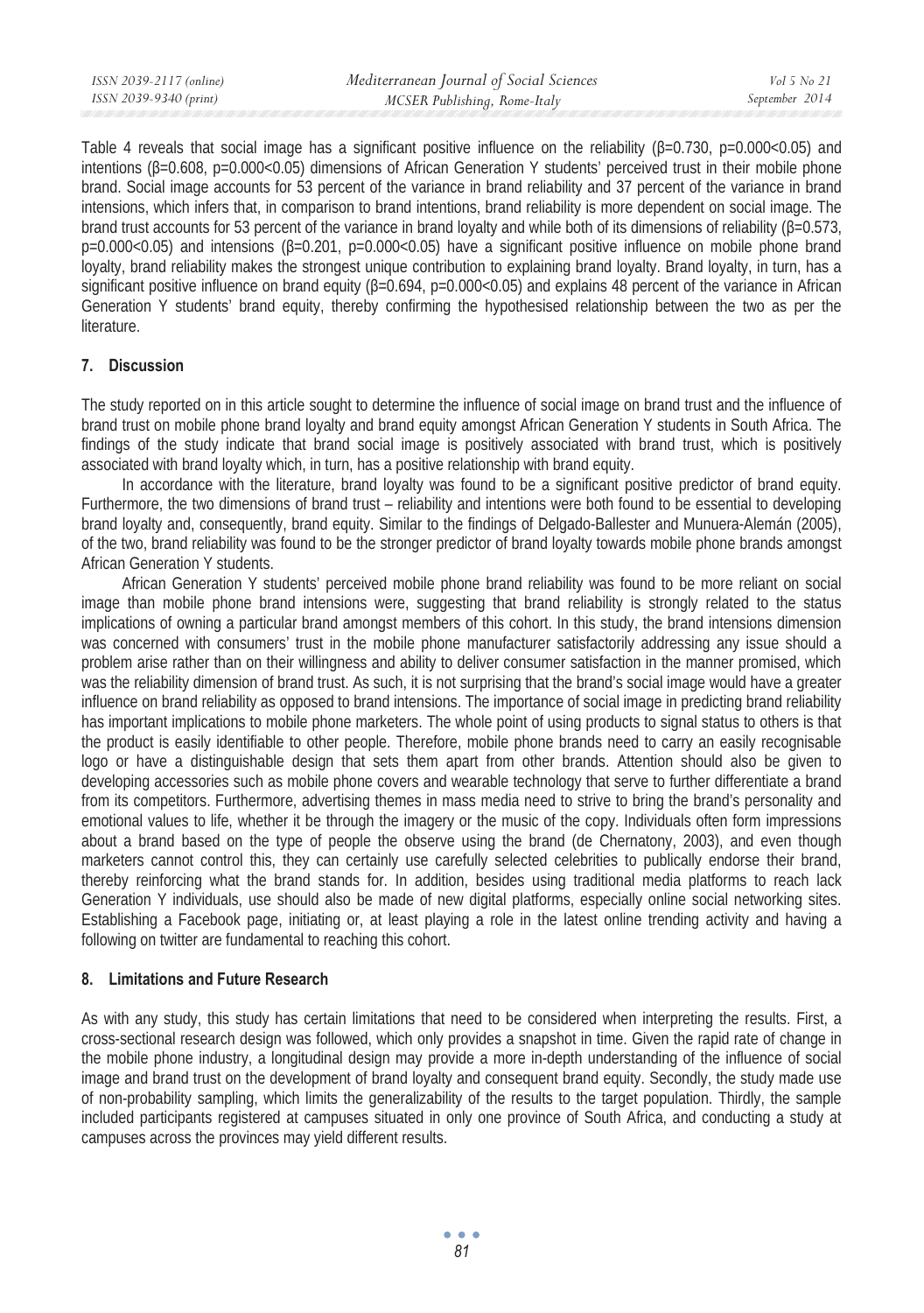| ISSN 2039-2117 (online) | Mediterranean Journal of Social Sciences | Vol 5 No 21    |
|-------------------------|------------------------------------------|----------------|
| ISSN 2039-9340 (print)  | MCSER Publishing, Rome-Italy             | September 2014 |

Table 4 reveals that social image has a significant positive influence on the reliability (B=0.730, p=0.000<0.05) and intentions  $(\beta=0.608, p=0.000<0.05)$  dimensions of African Generation Y students' perceived trust in their mobile phone brand. Social image accounts for 53 percent of the variance in brand reliability and 37 percent of the variance in brand intensions, which infers that, in comparison to brand intentions, brand reliability is more dependent on social image. The brand trust accounts for 53 percent of the variance in brand loyalty and while both of its dimensions of reliability ( $\beta$ =0.573,  $p=0.000<0.05)$  and intensions ( $\beta=0.201$ ,  $p=0.000<0.05)$  have a significant positive influence on mobile phone brand loyalty, brand reliability makes the strongest unique contribution to explaining brand loyalty. Brand loyalty, in turn, has a significant positive influence on brand equity  $(\beta=0.694, p=0.000<0.05)$  and explains 48 percent of the variance in African Generation Y students' brand equity, thereby confirming the hypothesised relationship between the two as per the literature.

### **7. Discussion**

The study reported on in this article sought to determine the influence of social image on brand trust and the influence of brand trust on mobile phone brand loyalty and brand equity amongst African Generation Y students in South Africa. The findings of the study indicate that brand social image is positively associated with brand trust, which is positively associated with brand loyalty which, in turn, has a positive relationship with brand equity.

In accordance with the literature, brand loyalty was found to be a significant positive predictor of brand equity. Furthermore, the two dimensions of brand trust – reliability and intentions were both found to be essential to developing brand loyalty and, consequently, brand equity. Similar to the findings of Delgado-Ballester and Munuera-Alemán (2005), of the two, brand reliability was found to be the stronger predictor of brand loyalty towards mobile phone brands amongst African Generation Y students.

African Generation Y students' perceived mobile phone brand reliability was found to be more reliant on social image than mobile phone brand intensions were, suggesting that brand reliability is strongly related to the status implications of owning a particular brand amongst members of this cohort. In this study, the brand intensions dimension was concerned with consumers' trust in the mobile phone manufacturer satisfactorily addressing any issue should a problem arise rather than on their willingness and ability to deliver consumer satisfaction in the manner promised, which was the reliability dimension of brand trust. As such, it is not surprising that the brand's social image would have a greater influence on brand reliability as opposed to brand intensions. The importance of social image in predicting brand reliability has important implications to mobile phone marketers. The whole point of using products to signal status to others is that the product is easily identifiable to other people. Therefore, mobile phone brands need to carry an easily recognisable logo or have a distinguishable design that sets them apart from other brands. Attention should also be given to developing accessories such as mobile phone covers and wearable technology that serve to further differentiate a brand from its competitors. Furthermore, advertising themes in mass media need to strive to bring the brand's personality and emotional values to life, whether it be through the imagery or the music of the copy. Individuals often form impressions about a brand based on the type of people the observe using the brand (de Chernatony, 2003), and even though marketers cannot control this, they can certainly use carefully selected celebrities to publically endorse their brand, thereby reinforcing what the brand stands for. In addition, besides using traditional media platforms to reach lack Generation Y individuals, use should also be made of new digital platforms, especially online social networking sites. Establishing a Facebook page, initiating or, at least playing a role in the latest online trending activity and having a following on twitter are fundamental to reaching this cohort.

### **8. Limitations and Future Research**

As with any study, this study has certain limitations that need to be considered when interpreting the results. First, a cross-sectional research design was followed, which only provides a snapshot in time. Given the rapid rate of change in the mobile phone industry, a longitudinal design may provide a more in-depth understanding of the influence of social image and brand trust on the development of brand loyalty and consequent brand equity. Secondly, the study made use of non-probability sampling, which limits the generalizability of the results to the target population. Thirdly, the sample included participants registered at campuses situated in only one province of South Africa, and conducting a study at campuses across the provinces may yield different results.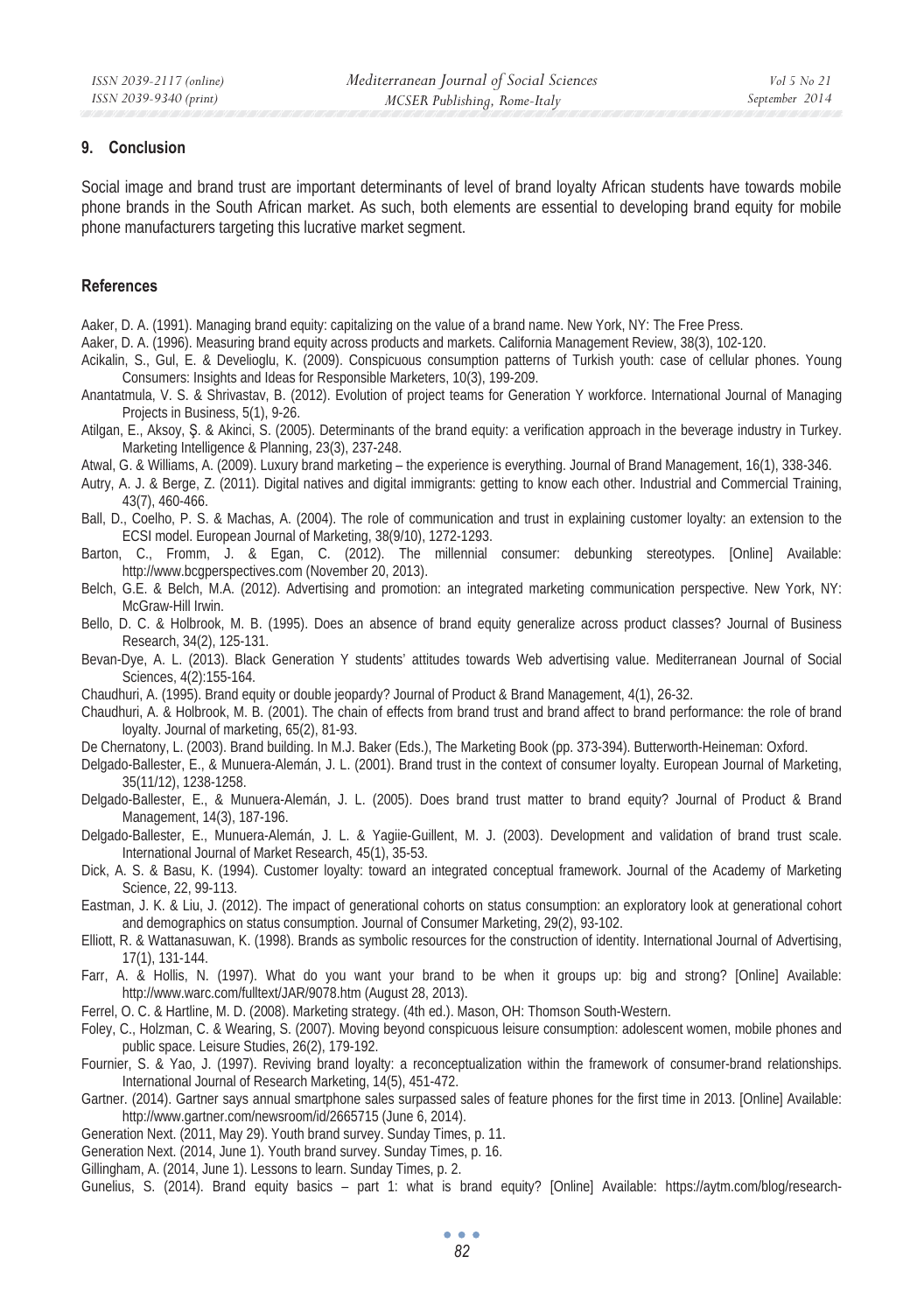### **9. Conclusion**

Social image and brand trust are important determinants of level of brand loyalty African students have towards mobile phone brands in the South African market. As such, both elements are essential to developing brand equity for mobile phone manufacturers targeting this lucrative market segment.

### **References**

- Aaker, D. A. (1991). Managing brand equity: capitalizing on the value of a brand name. New York, NY: The Free Press.
- Aaker, D. A. (1996). Measuring brand equity across products and markets. California Management Review, 38(3), 102-120.
- Acikalin, S., Gul, E. & Develioglu, K. (2009). Conspicuous consumption patterns of Turkish youth: case of cellular phones. Young Consumers: Insights and Ideas for Responsible Marketers, 10(3), 199-209.
- Anantatmula, V. S. & Shrivastav, B. (2012). Evolution of project teams for Generation Y workforce. International Journal of Managing Projects in Business, 5(1), 9-26.
- Atilgan, E., Aksoy, Ş. & Akinci, S. (2005). Determinants of the brand equity: a verification approach in the beverage industry in Turkey. Marketing Intelligence & Planning, 23(3), 237-248.
- Atwal, G. & Williams, A. (2009). Luxury brand marketing the experience is everything. Journal of Brand Management, 16(1), 338-346.
- Autry, A. J. & Berge, Z. (2011). Digital natives and digital immigrants: getting to know each other. Industrial and Commercial Training, 43(7), 460-466.
- Ball, D., Coelho, P. S. & Machas, A. (2004). The role of communication and trust in explaining customer loyalty: an extension to the ECSI model. European Journal of Marketing, 38(9/10), 1272-1293.
- Barton, C., Fromm, J. & Egan, C. (2012). The millennial consumer: debunking stereotypes. [Online] Available: http://www.bcgperspectives.com (November 20, 2013).
- Belch, G.E. & Belch, M.A. (2012). Advertising and promotion: an integrated marketing communication perspective. New York, NY: McGraw-Hill Irwin.
- Bello, D. C. & Holbrook, M. B. (1995). Does an absence of brand equity generalize across product classes? Journal of Business Research, 34(2), 125-131.
- Bevan-Dye, A. L. (2013). Black Generation Y students' attitudes towards Web advertising value. Mediterranean Journal of Social Sciences, 4(2):155-164.
- Chaudhuri, A. (1995). Brand equity or double jeopardy? Journal of Product & Brand Management, 4(1), 26-32.
- Chaudhuri, A. & Holbrook, M. B. (2001). The chain of effects from brand trust and brand affect to brand performance: the role of brand loyalty. Journal of marketing, 65(2), 81-93.
- De Chernatony, L. (2003). Brand building. In M.J. Baker (Eds.), The Marketing Book (pp. 373-394). Butterworth-Heineman: Oxford.
- Delgado-Ballester, E., & Munuera-Alemán, J. L. (2001). Brand trust in the context of consumer loyalty. European Journal of Marketing, 35(11/12), 1238-1258.
- Delgado-Ballester, E., & Munuera-Alemán, J. L. (2005). Does brand trust matter to brand equity? Journal of Product & Brand Management, 14(3), 187-196.
- Delgado-Ballester, E., Munuera-Alemán, J. L. & Yagiie-Guillent, M. J. (2003). Development and validation of brand trust scale. International Journal of Market Research, 45(1), 35-53.
- Dick, A. S. & Basu, K. (1994). Customer loyalty: toward an integrated conceptual framework. Journal of the Academy of Marketing Science, 22, 99-113.
- Eastman, J. K. & Liu, J. (2012). The impact of generational cohorts on status consumption: an exploratory look at generational cohort and demographics on status consumption. Journal of Consumer Marketing, 29(2), 93-102.
- Elliott, R. & Wattanasuwan, K. (1998). Brands as symbolic resources for the construction of identity. International Journal of Advertising, 17(1), 131-144.
- Farr, A. & Hollis, N. (1997). What do you want your brand to be when it groups up: big and strong? [Online] Available: http://www.warc.com/fulltext/JAR/9078.htm (August 28, 2013).
- Ferrel, O. C. & Hartline, M. D. (2008). Marketing strategy. (4th ed.). Mason, OH: Thomson South-Western.
- Foley, C., Holzman, C. & Wearing, S. (2007). Moving beyond conspicuous leisure consumption: adolescent women, mobile phones and public space. Leisure Studies, 26(2), 179-192.
- Fournier, S. & Yao, J. (1997). Reviving brand loyalty: a reconceptualization within the framework of consumer-brand relationships. International Journal of Research Marketing, 14(5), 451-472.
- Gartner. (2014). Gartner says annual smartphone sales surpassed sales of feature phones for the first time in 2013. [Online] Available: http://www.gartner.com/newsroom/id/2665715 (June 6, 2014).
- Generation Next. (2011, May 29). Youth brand survey. Sunday Times, p. 11.
- Generation Next. (2014, June 1). Youth brand survey. Sunday Times, p. 16.
- Gillingham, A. (2014, June 1). Lessons to learn. Sunday Times, p. 2.

Gunelius, S. (2014). Brand equity basics – part 1: what is brand equity? [Online] Available: https://aytm.com/blog/research-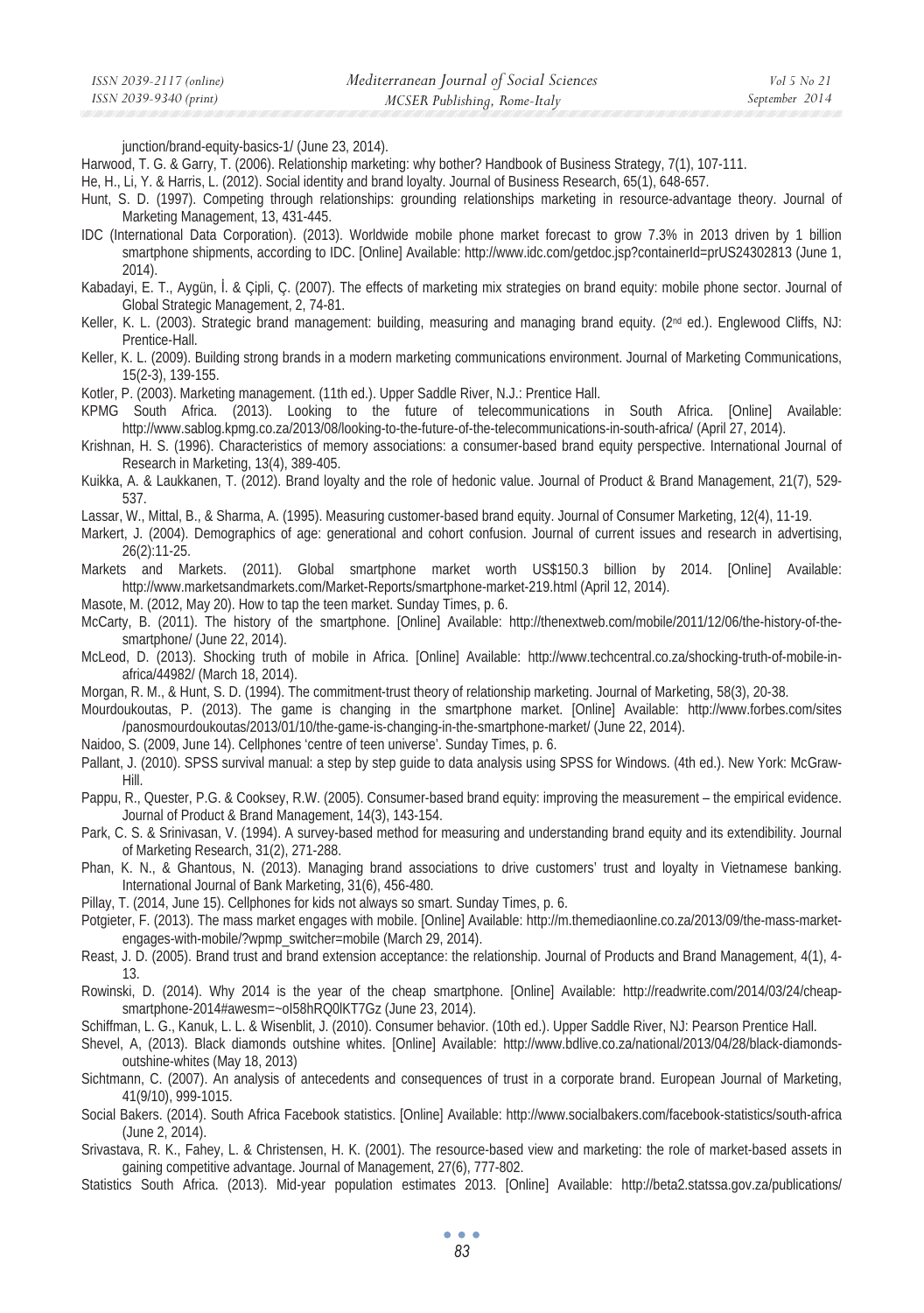junction/brand-equity-basics-1/ (June 23, 2014).

- Harwood, T. G. & Garry, T. (2006). Relationship marketing: why bother? Handbook of Business Strategy, 7(1), 107-111.
- He, H., Li, Y. & Harris, L. (2012). Social identity and brand loyalty. Journal of Business Research, 65(1), 648-657.
- Hunt, S. D. (1997). Competing through relationships: grounding relationships marketing in resource-advantage theory. Journal of Marketing Management, 13, 431-445.
- IDC (International Data Corporation). (2013). Worldwide mobile phone market forecast to grow 7.3% in 2013 driven by 1 billion smartphone shipments, according to IDC. [Online] Available: http://www.idc.com/getdoc.jsp?containerId=prUS24302813 (June 1, 2014).
- Kabadayi, E. T., Aygün, İ. & Çipli, C. (2007). The effects of marketing mix strategies on brand equity: mobile phone sector. Journal of Global Strategic Management, 2, 74-81.
- Keller, K. L. (2003). Strategic brand management: building, measuring and managing brand equity. (2<sup>nd</sup> ed.). Englewood Cliffs, NJ: Prentice-Hall.
- Keller, K. L. (2009). Building strong brands in a modern marketing communications environment. Journal of Marketing Communications, 15(2-3), 139-155.
- Kotler, P. (2003). Marketing management. (11th ed.). Upper Saddle River, N.J.: Prentice Hall.
- KPMG South Africa. (2013). Looking to the future of telecommunications in South Africa. [Online] Available: http://www.sablog.kpmg.co.za/2013/08/looking-to-the-future-of-the-telecommunications-in-south-africa/ (April 27, 2014).
- Krishnan, H. S. (1996). Characteristics of memory associations: a consumer-based brand equity perspective. International Journal of Research in Marketing, 13(4), 389-405.
- Kuikka, A. & Laukkanen, T. (2012). Brand loyalty and the role of hedonic value. Journal of Product & Brand Management, 21(7), 529- 537.
- Lassar, W., Mittal, B., & Sharma, A. (1995). Measuring customer-based brand equity. Journal of Consumer Marketing, 12(4), 11-19.
- Markert, J. (2004). Demographics of age: generational and cohort confusion. Journal of current issues and research in advertising, 26(2):11-25.
- Markets and Markets. (2011). Global smartphone market worth US\$150.3 billion by 2014. [Online] Available: http://www.marketsandmarkets.com/Market-Reports/smartphone-market-219.html (April 12, 2014).
- Masote, M. (2012, May 20). How to tap the teen market. Sunday Times, p. 6.
- McCarty, B. (2011). The history of the smartphone. [Online] Available: http://thenextweb.com/mobile/2011/12/06/the-history-of-thesmartphone/ (June 22, 2014).
- McLeod, D. (2013). Shocking truth of mobile in Africa. [Online] Available: http://www.techcentral.co.za/shocking-truth-of-mobile-inafrica/44982/ (March 18, 2014).
- Morgan, R. M., & Hunt, S. D. (1994). The commitment-trust theory of relationship marketing. Journal of Marketing, 58(3), 20-38.
- Mourdoukoutas, P. (2013). The game is changing in the smartphone market. [Online] Available: http://www.forbes.com/sites /panosmourdoukoutas/2013/01/10/the-game-is-changing-in-the-smartphone-market/ (June 22, 2014).
- Naidoo, S. (2009, June 14). Cellphones 'centre of teen universe'. Sunday Times, p. 6.
- Pallant, J. (2010). SPSS survival manual: a step by step guide to data analysis using SPSS for Windows. (4th ed.). New York: McGraw-Hill.
- Pappu, R., Quester, P.G. & Cooksey, R.W. (2005). Consumer-based brand equity: improving the measurement the empirical evidence. Journal of Product & Brand Management, 14(3), 143-154.
- Park, C. S. & Srinivasan, V. (1994). A survey-based method for measuring and understanding brand equity and its extendibility. Journal of Marketing Research, 31(2), 271-288.
- Phan, K. N., & Ghantous, N. (2013). Managing brand associations to drive customers' trust and loyalty in Vietnamese banking. International Journal of Bank Marketing, 31(6), 456-480.
- Pillay, T. (2014, June 15). Cellphones for kids not always so smart. Sunday Times, p. 6.
- Potgieter, F. (2013). The mass market engages with mobile. [Online] Available: http://m.themediaonline.co.za/2013/09/the-mass-marketengages-with-mobile/?wpmp\_switcher=mobile (March 29, 2014).
- Reast, J. D. (2005). Brand trust and brand extension acceptance: the relationship. Journal of Products and Brand Management, 4(1), 4- 13.
- Rowinski, D. (2014). Why 2014 is the year of the cheap smartphone. [Online] Available: http://readwrite.com/2014/03/24/cheapsmartphone-2014#awesm=~oI58hRQ0lKT7Gz (June 23, 2014).
- Schiffman, L. G., Kanuk, L. L. & Wisenblit, J. (2010). Consumer behavior. (10th ed.). Upper Saddle River, NJ: Pearson Prentice Hall.
- Shevel, A, (2013). Black diamonds outshine whites. [Online] Available: http://www.bdlive.co.za/national/2013/04/28/black-diamondsoutshine-whites (May 18, 2013)
- Sichtmann, C. (2007). An analysis of antecedents and consequences of trust in a corporate brand. European Journal of Marketing, 41(9/10), 999-1015.
- Social Bakers. (2014). South Africa Facebook statistics. [Online] Available: http://www.socialbakers.com/facebook-statistics/south-africa (June 2, 2014).
- Srivastava, R. K., Fahey, L. & Christensen, H. K. (2001). The resource-based view and marketing: the role of market-based assets in gaining competitive advantage. Journal of Management, 27(6), 777-802.
- Statistics South Africa. (2013). Mid-year population estimates 2013. [Online] Available: http://beta2.statssa.gov.za/publications/